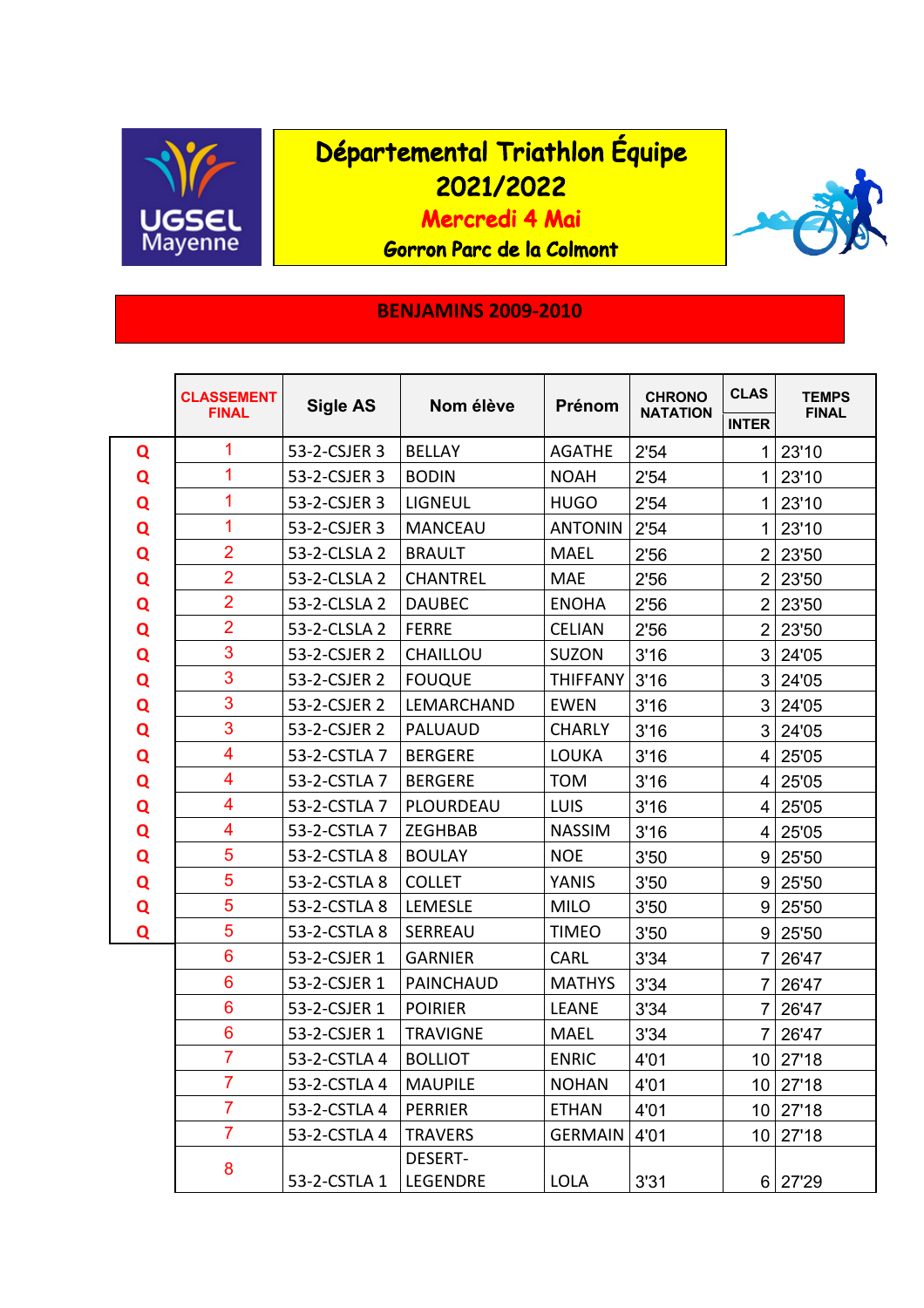

## Départemental Triathlon Équipe 2021/2022

Mercredi 4 Mai

Gorron Parc de la Colmont

## **BENJAMINS 2009-2010**

|   | <b>CLASSEMENT</b><br><b>FINAL</b> | <b>Sigle AS</b> | Nom élève                         | Prénom          | <b>CHRONO</b><br><b>NATATION</b> | <b>CLAS</b>    | <b>TEMPS</b><br><b>FINAL</b> |
|---|-----------------------------------|-----------------|-----------------------------------|-----------------|----------------------------------|----------------|------------------------------|
|   |                                   |                 |                                   |                 |                                  | <b>INTER</b>   |                              |
| Q | 1                                 | 53-2-CSJER 3    | <b>BELLAY</b>                     | <b>AGATHE</b>   | 2'54                             | 1              | 23'10                        |
| Q | 1                                 | 53-2-CSJER 3    | <b>BODIN</b>                      | <b>NOAH</b>     | 2'54                             | 1              | 23'10                        |
| Q | 1                                 | 53-2-CSJER 3    | <b>LIGNEUL</b>                    | <b>HUGO</b>     | 2'54                             | 1              | 23'10                        |
| Q | 1                                 | 53-2-CSJER 3    | <b>MANCEAU</b>                    | <b>ANTONIN</b>  | 2'54                             | 1              | 23'10                        |
| Q | $\overline{2}$                    | 53-2-CLSLA 2    | <b>BRAULT</b>                     | <b>MAEL</b>     | 2'56                             | $\overline{2}$ | 23'50                        |
| Q | $\overline{2}$                    | 53-2-CLSLA 2    | <b>CHANTREL</b>                   | <b>MAE</b>      | 2'56                             | $\overline{2}$ | 23'50                        |
| Q | $\overline{2}$                    | 53-2-CLSLA 2    | <b>DAUBEC</b>                     | <b>ENOHA</b>    | 2'56                             | $\overline{2}$ | 23'50                        |
| Q | $\overline{2}$                    | 53-2-CLSLA 2    | <b>FERRE</b>                      | <b>CELIAN</b>   | 2'56                             | $\overline{2}$ | 23'50                        |
| Q | 3                                 | 53-2-CSJER 2    | CHAILLOU                          | <b>SUZON</b>    | 3'16                             | 3              | 24'05                        |
| Q | 3                                 | 53-2-CSJER 2    | <b>FOUQUE</b>                     | <b>THIFFANY</b> | 3'16                             | 3              | 24'05                        |
| Q | 3                                 | 53-2-CSJER 2    | LEMARCHAND                        | <b>EWEN</b>     | 3'16                             | 3              | 24'05                        |
| Q | 3                                 | 53-2-CSJER 2    | PALUAUD                           | <b>CHARLY</b>   | 3'16                             | 3              | 24'05                        |
| Q | 4                                 | 53-2-CSTLA 7    | <b>BERGERE</b>                    | LOUKA           | 3'16                             | 4              | 25'05                        |
| Q | 4                                 | 53-2-CSTLA 7    | <b>BERGERE</b>                    | <b>TOM</b>      | 3'16                             | 4              | 25'05                        |
| Q | 4                                 | 53-2-CSTLA 7    | PLOURDEAU                         | <b>LUIS</b>     | 3'16                             | 4              | 25'05                        |
| Q | 4                                 | 53-2-CSTLA 7    | ZEGHBAB                           | <b>NASSIM</b>   | 3'16                             | 4              | 25'05                        |
| Q | 5                                 | 53-2-CSTLA 8    | <b>BOULAY</b>                     | <b>NOE</b>      | 3'50                             | 9              | 25'50                        |
| Q | 5                                 | 53-2-CSTLA 8    | <b>COLLET</b>                     | YANIS           | 3'50                             | 9              | 25'50                        |
| Q | 5                                 | 53-2-CSTLA 8    | LEMESLE                           | <b>MILO</b>     | 3'50                             | 9              | 25'50                        |
| Q | 5                                 | 53-2-CSTLA 8    | <b>SERREAU</b>                    | <b>TIMEO</b>    | 3'50                             | 9              | 25'50                        |
|   | 6                                 | 53-2-CSJER 1    | <b>GARNIER</b>                    | CARL            | 3'34                             | 7              | 26'47                        |
|   | 6                                 | 53-2-CSJER 1    | <b>PAINCHAUD</b>                  | <b>MATHYS</b>   | 3'34                             | 7              | 26'47                        |
|   | 6                                 | 53-2-CSJER 1    | <b>POIRIER</b>                    | <b>LEANE</b>    | 3'34                             | 7              | 26'47                        |
|   | 6                                 | 53-2-CSJER 1    | <b>TRAVIGNE</b>                   | <b>MAEL</b>     | 3'34                             | 7              | 26'47                        |
|   | $\overline{7}$                    | 53-2-CSTLA 4    | <b>BOLLIOT</b>                    | <b>ENRIC</b>    | 4'01                             |                | 10 27'18                     |
|   | $\overline{7}$                    | 53-2-CSTLA 4    | <b>MAUPILE</b>                    | <b>NOHAN</b>    | 4'01                             |                | $10$   27'18                 |
|   | $\overline{7}$                    | 53-2-CSTLA 4    | <b>PERRIER</b>                    | <b>ETHAN</b>    | 4'01                             | 10             | 27'18                        |
|   | $\overline{7}$                    | 53-2-CSTLA 4    | <b>TRAVERS</b>                    | <b>GERMAIN</b>  | 4'01                             |                | 10 27'18                     |
|   | 8                                 | 53-2-CSTLA 1    | <b>DESERT-</b><br><b>LEGENDRE</b> | <b>LOLA</b>     | 3'31                             |                | 6 27'29                      |